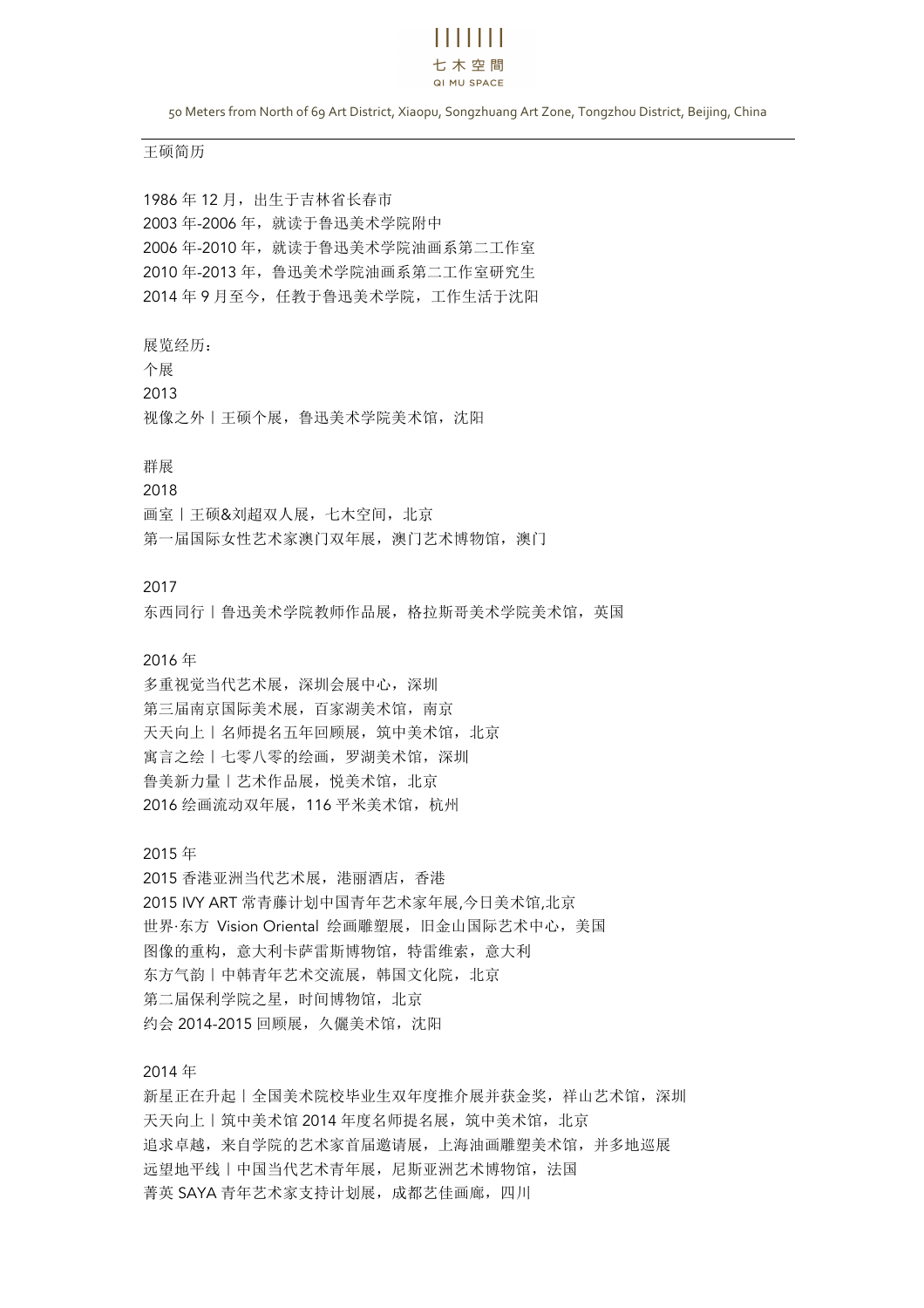# 11 1 1 1 1 1 1 七木空間 QI MU SPACE

50 Meters from North of 69 Art District, Xiaopu, Songzhuang Art Zone, Tongzhou District, Beijing, China

#### 王硕简历

 年 12 月,出生于吉林省长春市 年-2006 年,就读于鲁迅美术学院附中 年-2010 年,就读于鲁迅美术学院油画系第二工作室 年-2013 年,鲁迅美术学院油画系第二工作室研究生 年 9 月至今,任教于鲁迅美术学院,工作生活于沈阳

展览经历:

个展 2013 视像之外 | 王硕个展, 鲁迅美术学院美术馆, 沈阳

#### 群展

#### 2018

画室 | 王硕&刘超双人展, 七木空间, 北京 第一届国际女性艺术家澳门双年展,澳门艺术博物馆,澳门

#### 2017

东西同行 | 鲁迅美术学院教师作品展, 格拉斯哥美术学院美术馆, 英国

### 2016 年

多重视觉当代艺术展,深圳会展中心,深圳 第三届南京国际美术展,百家湖美术馆,南京 天天向上 | 名师提名五年回顾展, 筑中美术馆, 北京 寓言之绘|七零八零的绘画,罗湖美术馆,深圳 鲁美新力量 | 艺术作品展, 悦美术馆, 北京 2016 绘画流动双年展, 116 平米美术馆, 杭州

2015 年

2015 香港亚洲当代艺术展,港丽酒店,香港 2015 IVY ART 常青藤计划中国青年艺术家年展,今日美术馆,北京 世界·东方 Vision Oriental 绘画雕塑展,旧金山国际艺术中心,美国 图像的重构,意大利卡萨雷斯博物馆,特雷维索,意大利 东方气韵 | 中韩青年艺术交流展, 韩国文化院, 北京 第二届保利学院之星,时间博物馆,北京 约会 2014-2015 回顾展,久儷美术馆,沈阳

2014 年

新星正在升起 | 全国美术院校毕业生双年度推介展并获金奖, 祥山艺术馆, 深圳 天天向上 | 筑中美术馆 2014 年度名师提名展, 筑中美术馆, 北京 追求卓越,来自学院的艺术家首届邀请展,上海油画雕塑美术馆,并多地巡展 远望地平线|中国当代艺术青年展,尼斯亚洲艺术博物馆,法国 菁英 SAYA 青年艺术家支持计划展,成都艺佳画廊,四川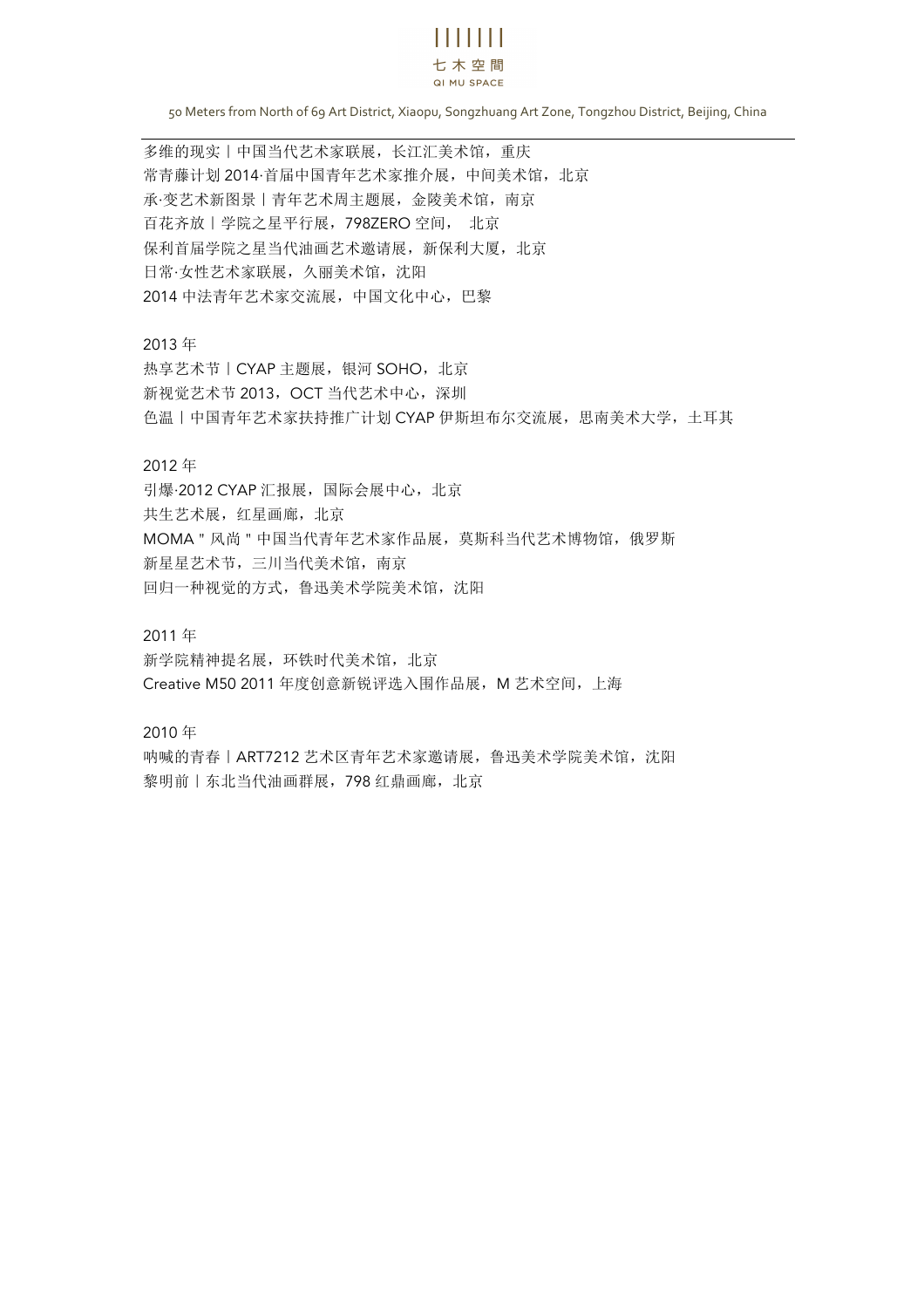# $\mathbf{H}$   $\mathbf{H}$   $\mathbf{H}$

#### 七木空間 QI MU SPACE

50 Meters from North of 69 Art District, Xiaopu, Songzhuang Art Zone, Tongzhou District, Beijing, China

多维的现实 | 中国当代艺术家联展, 长江汇美术馆, 重庆 常青藤计划 2014·首届中国青年艺术家推介展,中间美术馆, 北京 承·变艺术新图景|青年艺术周主题展,金陵美术馆,南京 百花齐放|学院之星平行展,798ZERO 空间, 北京 保利首届学院之星当代油画艺术邀请展,新保利大厦,北京 日常·女性艺术家联展,久丽美术馆,沈阳 2014 中法青年艺术家交流展,中国文化中心,巴黎

2013 年

热享艺术节 | CYAP 主题展, 银河 SOHO, 北京 新视觉艺术节 2013, OCT 当代艺术中心, 深圳 色温|中国青年艺术家扶持推广计划 CYAP 伊斯坦布尔交流展,思南美术大学,土耳其

## 2012 年

引爆·2012 CYAP 汇报展, 国际会展中心, 北京 共生艺术展,红星画廊,北京 MOMA"风尚"中国当代青年艺术家作品展,莫斯科当代艺术博物馆,俄罗斯 新星星艺术节,三川当代美术馆,南京 回归一种视觉的方式,鲁迅美术学院美术馆,沈阳

2011 年

新学院精神提名展,环铁时代美术馆,北京 Creative M50 2011 年度创意新锐评选入围作品展, M 艺术空间, 上海

2010 年

呐喊的青春|ART7212 艺术区青年艺术家邀请展,鲁迅美术学院美术馆,沈阳 黎明前 | 东北当代油画群展, 798 红鼎画廊, 北京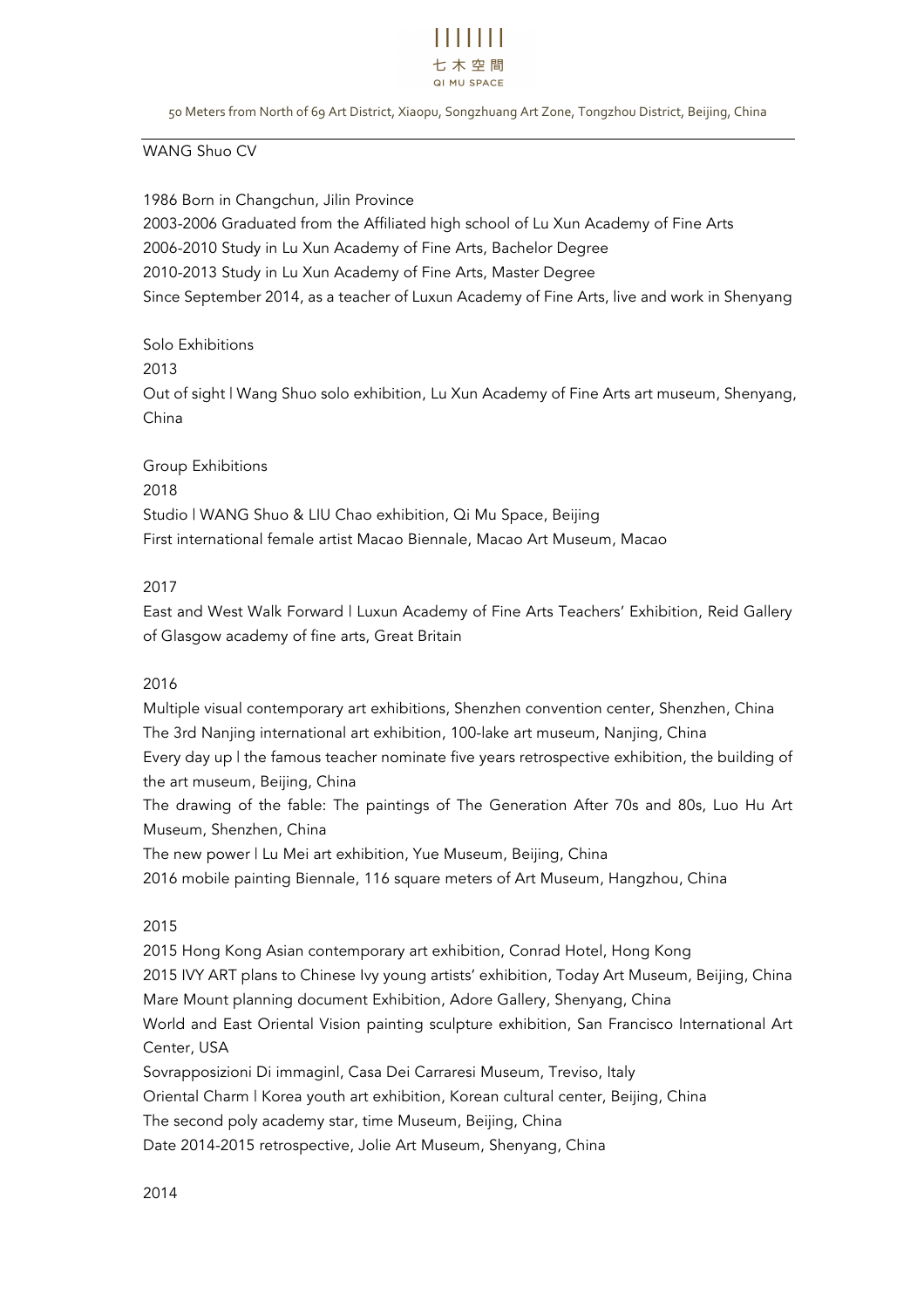

50 Meters from North of 69 Art District, Xiaopu, Songzhuang Art Zone, Tongzhou District, Beijing, China

WANG Shuo CV

1986 Born in Changchun, Jilin Province 2003-2006 Graduated from the Affiliated high school of Lu Xun Academy of Fine Arts 2006-2010 Study in Lu Xun Academy of Fine Arts, Bachelor Degree 2010-2013 Study in Lu Xun Academy of Fine Arts, Master Degree Since September 2014, as a teacher of Luxun Academy of Fine Arts, live and work in Shenyang

Solo Exhibitions 2013 Out of sight | Wang Shuo solo exhibition, Lu Xun Academy of Fine Arts art museum, Shenyang, China

Group Exhibitions 2018 Studio | WANG Shuo & LIU Chao exhibition, Qi Mu Space, Beijing First international female artist Macao Biennale, Macao Art Museum, Macao

## 2017

East and West Walk Forward | Luxun Academy of Fine Arts Teachers' Exhibition, Reid Gallery of Glasgow academy of fine arts, Great Britain

## 2016

Multiple visual contemporary art exhibitions, Shenzhen convention center, Shenzhen, China The 3rd Nanjing international art exhibition, 100-lake art museum, Nanjing, China Every day up | the famous teacher nominate five years retrospective exhibition, the building of the art museum, Beijing, China The drawing of the fable: The paintings of The Generation After 70s and 80s, Luo Hu Art Museum, Shenzhen, China

The new power | Lu Mei art exhibition, Yue Museum, Beijing, China

2016 mobile painting Biennale, 116 square meters of Art Museum, Hangzhou, China

# 2015

2015 Hong Kong Asian contemporary art exhibition, Conrad Hotel, Hong Kong 2015 IVY ART plans to Chinese Ivy young artists' exhibition, Today Art Museum, Beijing, China Mare Mount planning document Exhibition, Adore Gallery, Shenyang, China World and East Oriental Vision painting sculpture exhibition, San Francisco International Art Center, USA Sovrapposizioni Di immaginl, Casa Dei Carraresi Museum, Treviso, Italy Oriental Charm | Korea youth art exhibition, Korean cultural center, Beijing, China

The second poly academy star, time Museum, Beijing, China

Date 2014-2015 retrospective, Jolie Art Museum, Shenyang, China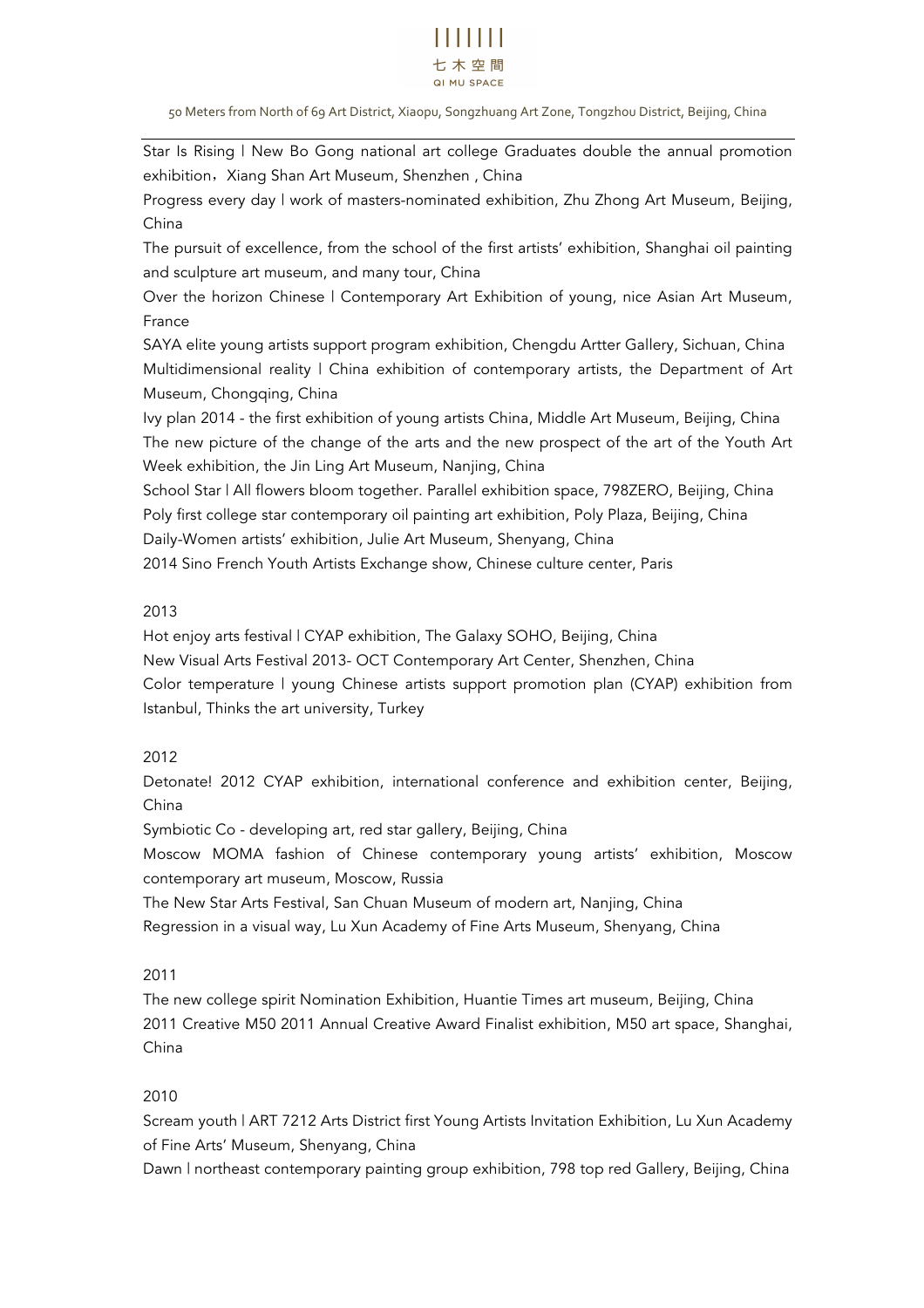# . . . . . . . 七木空間 **QLMU SPACE**

50 Meters from North of 69 Art District, Xiaopu, Songzhuang Art Zone, Tongzhou District, Beijing, China

Star Is Rising | New Bo Gong national art college Graduates double the annual promotion exhibition, Xiang Shan Art Museum, Shenzhen, China

Progress every day | work of masters-nominated exhibition, Zhu Zhong Art Museum, Beijing, China

The pursuit of excellence, from the school of the first artists' exhibition, Shanghai oil painting and sculpture art museum, and many tour, China

Over the horizon Chinese | Contemporary Art Exhibition of young, nice Asian Art Museum, France

SAYA elite young artists support program exhibition, Chengdu Artter Gallery, Sichuan, China Multidimensional reality | China exhibition of contemporary artists, the Department of Art Museum, Chongqing, China

Ivy plan 2014 - the first exhibition of young artists China, Middle Art Museum, Beijing, China The new picture of the change of the arts and the new prospect of the art of the Youth Art Week exhibition, the Jin Ling Art Museum, Nanjing, China

School Star | All flowers bloom together. Parallel exhibition space, 798ZERO, Beijing, China Poly first college star contemporary oil painting art exhibition, Poly Plaza, Beijing, China Daily-Women artists' exhibition, Julie Art Museum, Shenyang, China

2014 Sino French Youth Artists Exchange show, Chinese culture center, Paris

## 2013

Hot enjoy arts festival | CYAP exhibition, The Galaxy SOHO, Beijing, China New Visual Arts Festival 2013- OCT Contemporary Art Center, Shenzhen, China Color temperature | young Chinese artists support promotion plan (CYAP) exhibition from Istanbul, Thinks the art university, Turkey

# 2012

Detonate! 2012 CYAP exhibition, international conference and exhibition center, Beijing, China

Symbiotic Co - developing art, red star gallery, Beijing, China

Moscow MOMA fashion of Chinese contemporary young artists' exhibition, Moscow contemporary art museum, Moscow, Russia

The New Star Arts Festival, San Chuan Museum of modern art, Nanjing, China Regression in a visual way, Lu Xun Academy of Fine Arts Museum, Shenyang, China

## 2011

The new college spirit Nomination Exhibition, Huantie Times art museum, Beijing, China 2011 Creative M50 2011 Annual Creative Award Finalist exhibition, M50 art space, Shanghai, China

# 2010

Scream youth | ART 7212 Arts District first Young Artists Invitation Exhibition, Lu Xun Academy of Fine Arts' Museum, Shenyang, China

Dawn | northeast contemporary painting group exhibition, 798 top red Gallery, Beijing, China